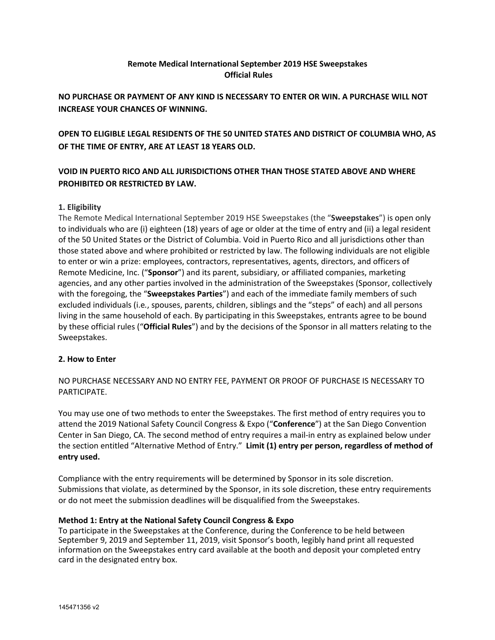## **Remote Medical International September 2019 HSE Sweepstakes Official Rules**

# **NO PURCHASE OR PAYMENT OF ANY KIND IS NECESSARY TO ENTER OR WIN. A PURCHASE WILL NOT INCREASE YOUR CHANCES OF WINNING.**

**OPEN TO ELIGIBLE LEGAL RESIDENTS OF THE 50 UNITED STATES AND DISTRICT OF COLUMBIA WHO, AS OF THE TIME OF ENTRY, ARE AT LEAST 18 YEARS OLD.** 

# **VOID IN PUERTO RICO AND ALL JURISDICTIONS OTHER THAN THOSE STATED ABOVE AND WHERE PROHIBITED OR RESTRICTED BY LAW.**

## **1. Eligibility**

The Remote Medical International September 2019 HSE Sweepstakes (the "**Sweepstakes**") is open only to individuals who are (i) eighteen (18) years of age or older at the time of entry and (ii) a legal resident of the 50 United States or the District of Columbia. Void in Puerto Rico and all jurisdictions other than those stated above and where prohibited or restricted by law. The following individuals are not eligible to enter or win a prize: employees, contractors, representatives, agents, directors, and officers of Remote Medicine, Inc. ("**Sponsor**") and its parent, subsidiary, or affiliated companies, marketing agencies, and any other parties involved in the administration of the Sweepstakes (Sponsor, collectively with the foregoing, the "**Sweepstakes Parties**") and each of the immediate family members of such excluded individuals (i.e*.*, spouses, parents, children, siblings and the "steps" of each) and all persons living in the same household of each. By participating in this Sweepstakes, entrants agree to be bound by these official rules ("**Official Rules**") and by the decisions of the Sponsor in all matters relating to the Sweepstakes.

#### **2. How to Enter**

NO PURCHASE NECESSARY AND NO ENTRY FEE, PAYMENT OR PROOF OF PURCHASE IS NECESSARY TO PARTICIPATE.

You may use one of two methods to enter the Sweepstakes. The first method of entry requires you to attend the 2019 National Safety Council Congress & Expo ("**Conference**") at the San Diego Convention Center in San Diego, CA. The second method of entry requires a mail-in entry as explained below under the section entitled "Alternative Method of Entry." **Limit (1) entry per person, regardless of method of entry used.**

Compliance with the entry requirements will be determined by Sponsor in its sole discretion. Submissions that violate, as determined by the Sponsor, in its sole discretion, these entry requirements or do not meet the submission deadlines will be disqualified from the Sweepstakes.

#### **Method 1: Entry at the National Safety Council Congress & Expo**

To participate in the Sweepstakes at the Conference, during the Conference to be held between September 9, 2019 and September 11, 2019, visit Sponsor's booth, legibly hand print all requested information on the Sweepstakes entry card available at the booth and deposit your completed entry card in the designated entry box.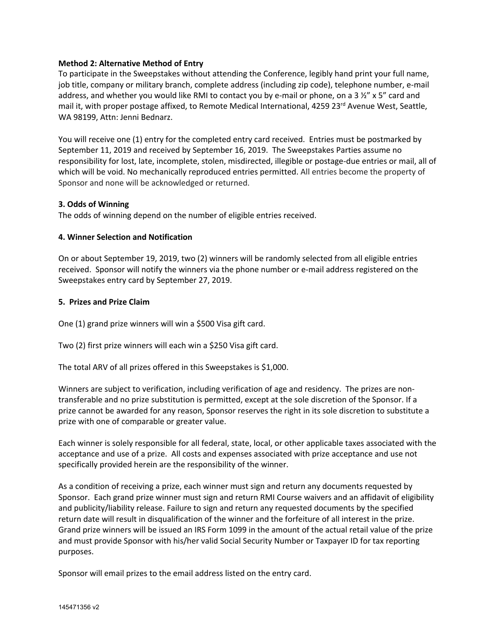## **Method 2: Alternative Method of Entry**

To participate in the Sweepstakes without attending the Conference, legibly hand print your full name, job title, company or military branch, complete address (including zip code), telephone number, e-mail address, and whether you would like RMI to contact you by e-mail or phone, on a 3  $\frac{1}{2}$ " x 5" card and mail it, with proper postage affixed, to Remote Medical International, 4259 23<sup>rd</sup> Avenue West, Seattle, WA 98199, Attn: Jenni Bednarz.

You will receive one (1) entry for the completed entry card received. Entries must be postmarked by September 11, 2019 and received by September 16, 2019. The Sweepstakes Parties assume no responsibility for lost, late, incomplete, stolen, misdirected, illegible or postage-due entries or mail, all of which will be void. No mechanically reproduced entries permitted. All entries become the property of Sponsor and none will be acknowledged or returned.

## **3. Odds of Winning**

The odds of winning depend on the number of eligible entries received.

## **4. Winner Selection and Notification**

On or about September 19, 2019, two (2) winners will be randomly selected from all eligible entries received. Sponsor will notify the winners via the phone number or e-mail address registered on the Sweepstakes entry card by September 27, 2019.

## **5. Prizes and Prize Claim**

One (1) grand prize winners will win a \$500 Visa gift card.

Two (2) first prize winners will each win a \$250 Visa gift card.

The total ARV of all prizes offered in this Sweepstakes is \$1,000.

Winners are subject to verification, including verification of age and residency. The prizes are nontransferable and no prize substitution is permitted, except at the sole discretion of the Sponsor. If a prize cannot be awarded for any reason, Sponsor reserves the right in its sole discretion to substitute a prize with one of comparable or greater value.

Each winner is solely responsible for all federal, state, local, or other applicable taxes associated with the acceptance and use of a prize. All costs and expenses associated with prize acceptance and use not specifically provided herein are the responsibility of the winner.

As a condition of receiving a prize, each winner must sign and return any documents requested by Sponsor. Each grand prize winner must sign and return RMI Course waivers and an affidavit of eligibility and publicity/liability release. Failure to sign and return any requested documents by the specified return date will result in disqualification of the winner and the forfeiture of all interest in the prize. Grand prize winners will be issued an IRS Form 1099 in the amount of the actual retail value of the prize and must provide Sponsor with his/her valid Social Security Number or Taxpayer ID for tax reporting purposes.

Sponsor will email prizes to the email address listed on the entry card.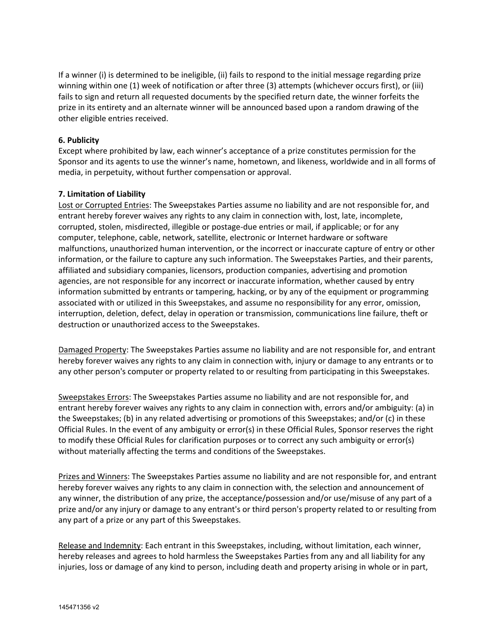If a winner (i) is determined to be ineligible, (ii) fails to respond to the initial message regarding prize winning within one (1) week of notification or after three (3) attempts (whichever occurs first), or (iii) fails to sign and return all requested documents by the specified return date, the winner forfeits the prize in its entirety and an alternate winner will be announced based upon a random drawing of the other eligible entries received.

## **6. Publicity**

Except where prohibited by law, each winner's acceptance of a prize constitutes permission for the Sponsor and its agents to use the winner's name, hometown, and likeness, worldwide and in all forms of media, in perpetuity, without further compensation or approval.

## **7. Limitation of Liability**

Lost or Corrupted Entries: The Sweepstakes Parties assume no liability and are not responsible for, and entrant hereby forever waives any rights to any claim in connection with, lost, late, incomplete, corrupted, stolen, misdirected, illegible or postage-due entries or mail, if applicable; or for any computer, telephone, cable, network, satellite, electronic or Internet hardware or software malfunctions, unauthorized human intervention, or the incorrect or inaccurate capture of entry or other information, or the failure to capture any such information. The Sweepstakes Parties, and their parents, affiliated and subsidiary companies, licensors, production companies, advertising and promotion agencies, are not responsible for any incorrect or inaccurate information, whether caused by entry information submitted by entrants or tampering, hacking, or by any of the equipment or programming associated with or utilized in this Sweepstakes, and assume no responsibility for any error, omission, interruption, deletion, defect, delay in operation or transmission, communications line failure, theft or destruction or unauthorized access to the Sweepstakes.

Damaged Property: The Sweepstakes Parties assume no liability and are not responsible for, and entrant hereby forever waives any rights to any claim in connection with, injury or damage to any entrants or to any other person's computer or property related to or resulting from participating in this Sweepstakes.

Sweepstakes Errors: The Sweepstakes Parties assume no liability and are not responsible for, and entrant hereby forever waives any rights to any claim in connection with, errors and/or ambiguity: (a) in the Sweepstakes; (b) in any related advertising or promotions of this Sweepstakes; and/or (c) in these Official Rules. In the event of any ambiguity or error(s) in these Official Rules, Sponsor reserves the right to modify these Official Rules for clarification purposes or to correct any such ambiguity or error(s) without materially affecting the terms and conditions of the Sweepstakes.

Prizes and Winners: The Sweepstakes Parties assume no liability and are not responsible for, and entrant hereby forever waives any rights to any claim in connection with, the selection and announcement of any winner, the distribution of any prize, the acceptance/possession and/or use/misuse of any part of a prize and/or any injury or damage to any entrant's or third person's property related to or resulting from any part of a prize or any part of this Sweepstakes.

Release and Indemnity: Each entrant in this Sweepstakes, including, without limitation, each winner, hereby releases and agrees to hold harmless the Sweepstakes Parties from any and all liability for any injuries, loss or damage of any kind to person, including death and property arising in whole or in part,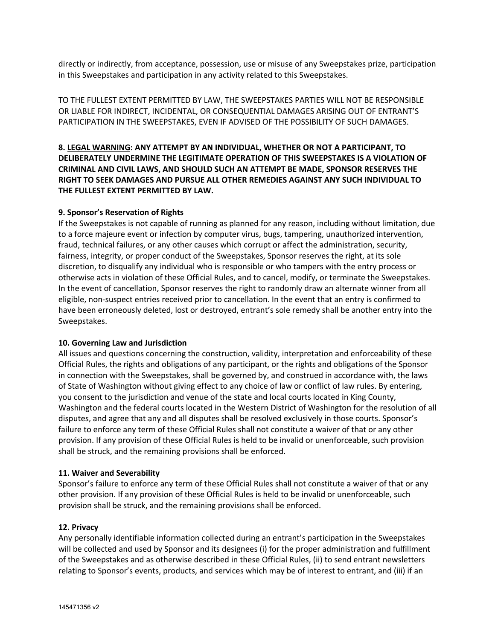directly or indirectly, from acceptance, possession, use or misuse of any Sweepstakes prize, participation in this Sweepstakes and participation in any activity related to this Sweepstakes.

TO THE FULLEST EXTENT PERMITTED BY LAW, THE SWEEPSTAKES PARTIES WILL NOT BE RESPONSIBLE OR LIABLE FOR INDIRECT, INCIDENTAL, OR CONSEQUENTIAL DAMAGES ARISING OUT OF ENTRANT'S PARTICIPATION IN THE SWEEPSTAKES, EVEN IF ADVISED OF THE POSSIBILITY OF SUCH DAMAGES.

**8. LEGAL WARNING: ANY ATTEMPT BY AN INDIVIDUAL, WHETHER OR NOT A PARTICIPANT, TO DELIBERATELY UNDERMINE THE LEGITIMATE OPERATION OF THIS SWEEPSTAKES IS A VIOLATION OF CRIMINAL AND CIVIL LAWS, AND SHOULD SUCH AN ATTEMPT BE MADE, SPONSOR RESERVES THE RIGHT TO SEEK DAMAGES AND PURSUE ALL OTHER REMEDIES AGAINST ANY SUCH INDIVIDUAL TO THE FULLEST EXTENT PERMITTED BY LAW.**

## **9. Sponsor's Reservation of Rights**

If the Sweepstakes is not capable of running as planned for any reason, including without limitation, due to a force majeure event or infection by computer virus, bugs, tampering, unauthorized intervention, fraud, technical failures, or any other causes which corrupt or affect the administration, security, fairness, integrity, or proper conduct of the Sweepstakes, Sponsor reserves the right, at its sole discretion, to disqualify any individual who is responsible or who tampers with the entry process or otherwise acts in violation of these Official Rules, and to cancel, modify, or terminate the Sweepstakes. In the event of cancellation, Sponsor reserves the right to randomly draw an alternate winner from all eligible, non-suspect entries received prior to cancellation. In the event that an entry is confirmed to have been erroneously deleted, lost or destroyed, entrant's sole remedy shall be another entry into the Sweepstakes.

#### **10. Governing Law and Jurisdiction**

All issues and questions concerning the construction, validity, interpretation and enforceability of these Official Rules, the rights and obligations of any participant, or the rights and obligations of the Sponsor in connection with the Sweepstakes, shall be governed by, and construed in accordance with, the laws of State of Washington without giving effect to any choice of law or conflict of law rules. By entering, you consent to the jurisdiction and venue of the state and local courts located in King County, Washington and the federal courts located in the Western District of Washington for the resolution of all disputes, and agree that any and all disputes shall be resolved exclusively in those courts. Sponsor's failure to enforce any term of these Official Rules shall not constitute a waiver of that or any other provision. If any provision of these Official Rules is held to be invalid or unenforceable, such provision shall be struck, and the remaining provisions shall be enforced.

#### **11. Waiver and Severability**

Sponsor's failure to enforce any term of these Official Rules shall not constitute a waiver of that or any other provision. If any provision of these Official Rules is held to be invalid or unenforceable, such provision shall be struck, and the remaining provisions shall be enforced.

#### **12. Privacy**

Any personally identifiable information collected during an entrant's participation in the Sweepstakes will be collected and used by Sponsor and its designees (i) for the proper administration and fulfillment of the Sweepstakes and as otherwise described in these Official Rules, (ii) to send entrant newsletters relating to Sponsor's events, products, and services which may be of interest to entrant, and (iii) if an